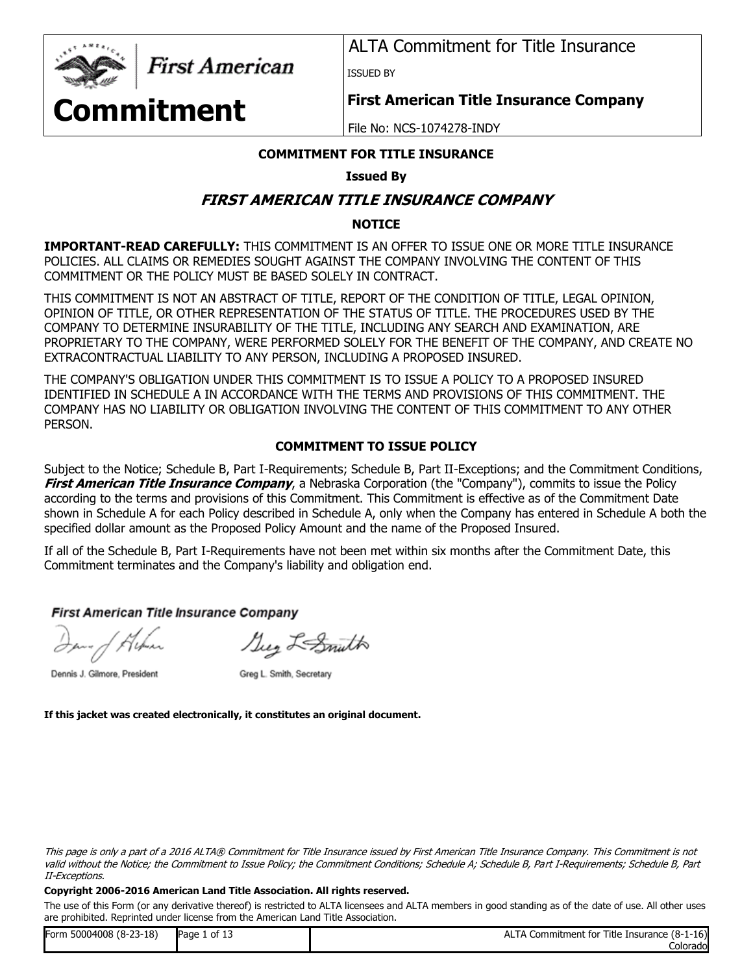

First American

ALTA Commitment for Title Insurance

ISSUED BY

# **Commitment**

**First American Title Insurance Company**

File No: NCS-1074278-INDY

## **COMMITMENT FOR TITLE INSURANCE**

## **Issued By**

## **FIRST AMERICAN TITLE INSURANCE COMPANY**

## **NOTICE**

**IMPORTANT-READ CAREFULLY:** THIS COMMITMENT IS AN OFFER TO ISSUE ONE OR MORE TITLE INSURANCE POLICIES. ALL CLAIMS OR REMEDIES SOUGHT AGAINST THE COMPANY INVOLVING THE CONTENT OF THIS COMMITMENT OR THE POLICY MUST BE BASED SOLELY IN CONTRACT.

THIS COMMITMENT IS NOT AN ABSTRACT OF TITLE, REPORT OF THE CONDITION OF TITLE, LEGAL OPINION, OPINION OF TITLE, OR OTHER REPRESENTATION OF THE STATUS OF TITLE. THE PROCEDURES USED BY THE COMPANY TO DETERMINE INSURABILITY OF THE TITLE, INCLUDING ANY SEARCH AND EXAMINATION, ARE PROPRIETARY TO THE COMPANY, WERE PERFORMED SOLELY FOR THE BENEFIT OF THE COMPANY, AND CREATE NO EXTRACONTRACTUAL LIABILITY TO ANY PERSON, INCLUDING A PROPOSED INSURED.

THE COMPANY'S OBLIGATION UNDER THIS COMMITMENT IS TO ISSUE A POLICY TO A PROPOSED INSURED IDENTIFIED IN SCHEDULE A IN ACCORDANCE WITH THE TERMS AND PROVISIONS OF THIS COMMITMENT. THE COMPANY HAS NO LIABILITY OR OBLIGATION INVOLVING THE CONTENT OF THIS COMMITMENT TO ANY OTHER PERSON.

## **COMMITMENT TO ISSUE POLICY**

Subject to the Notice; Schedule B, Part I-Requirements; Schedule B, Part II-Exceptions; and the Commitment Conditions, **First American Title Insurance Company**, a Nebraska Corporation (the "Company"), commits to issue the Policy according to the terms and provisions of this Commitment. This Commitment is effective as of the Commitment Date shown in Schedule A for each Policy described in Schedule A, only when the Company has entered in Schedule A both the specified dollar amount as the Proposed Policy Amount and the name of the Proposed Insured.

If all of the Schedule B, Part I-Requirements have not been met within six months after the Commitment Date, this Commitment terminates and the Company's liability and obligation end.

## **First American Title Insurance Company**

Suy LeSmith

Dennis J. Gilmore, President

Greg L. Smith, Secretary

**If this jacket was created electronically, it constitutes an original document.**

This page is only a part of a 2016 ALTA® Commitment for Title Insurance issued by First American Title Insurance Company. This Commitment is not valid without the Notice; the Commitment to Issue Policy; the Commitment Conditions; Schedule A; Schedule B, Part I-Requirements; Schedule B, Part II-Exceptions.

## **Copyright 2006-2016 American Land Title Association. All rights reserved.**

| 150004008 (8-23-18)<br>Form | .<br>Page<br>of 13 | Elnsurance (8-1-16)<br>Title<br>. Commitment for<br>AL.<br>$\mathbf{v}$ |
|-----------------------------|--------------------|-------------------------------------------------------------------------|
|                             |                    | Colorado                                                                |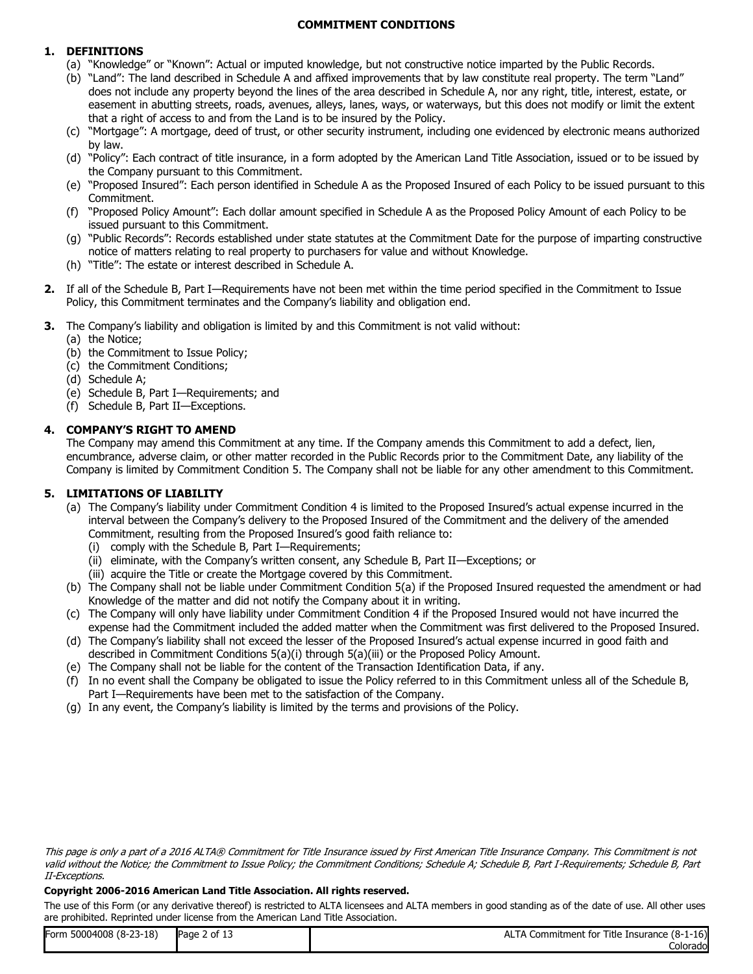## **COMMITMENT CONDITIONS**

## **1. DEFINITIONS**

- (a) "Knowledge" or "Known": Actual or imputed knowledge, but not constructive notice imparted by the Public Records.
- (b) "Land": The land described in Schedule A and affixed improvements that by law constitute real property. The term "Land" does not include any property beyond the lines of the area described in Schedule A, nor any right, title, interest, estate, or easement in abutting streets, roads, avenues, alleys, lanes, ways, or waterways, but this does not modify or limit the extent that a right of access to and from the Land is to be insured by the Policy.
- (c) "Mortgage": A mortgage, deed of trust, or other security instrument, including one evidenced by electronic means authorized by law.
- (d) "Policy": Each contract of title insurance, in a form adopted by the American Land Title Association, issued or to be issued by the Company pursuant to this Commitment.
- (e) "Proposed Insured": Each person identified in Schedule A as the Proposed Insured of each Policy to be issued pursuant to this Commitment.
- (f) "Proposed Policy Amount": Each dollar amount specified in Schedule A as the Proposed Policy Amount of each Policy to be issued pursuant to this Commitment.
- (g) "Public Records": Records established under state statutes at the Commitment Date for the purpose of imparting constructive notice of matters relating to real property to purchasers for value and without Knowledge.
- (h) "Title": The estate or interest described in Schedule A.
- **2.** If all of the Schedule B, Part I—Requirements have not been met within the time period specified in the Commitment to Issue Policy, this Commitment terminates and the Company's liability and obligation end.
- **3.** The Company's liability and obligation is limited by and this Commitment is not valid without:
	- (a) the Notice;
	- (b) the Commitment to Issue Policy;
	- (c) the Commitment Conditions;
	- (d) Schedule A;
	- (e) Schedule B, Part I—Requirements; and
	- (f) Schedule B, Part II—Exceptions.

## **4. COMPANY'S RIGHT TO AMEND**

The Company may amend this Commitment at any time. If the Company amends this Commitment to add a defect, lien, encumbrance, adverse claim, or other matter recorded in the Public Records prior to the Commitment Date, any liability of the Company is limited by Commitment Condition 5. The Company shall not be liable for any other amendment to this Commitment.

## **5. LIMITATIONS OF LIABILITY**

- (a) The Company's liability under Commitment Condition 4 is limited to the Proposed Insured's actual expense incurred in the interval between the Company's delivery to the Proposed Insured of the Commitment and the delivery of the amended Commitment, resulting from the Proposed Insured's good faith reliance to:
	- (i) comply with the Schedule B, Part I—Requirements;
	- (ii) eliminate, with the Company's written consent, any Schedule B, Part II—Exceptions; or
	- (iii) acquire the Title or create the Mortgage covered by this Commitment.
- (b) The Company shall not be liable under Commitment Condition 5(a) if the Proposed Insured requested the amendment or had Knowledge of the matter and did not notify the Company about it in writing.
- (c) The Company will only have liability under Commitment Condition 4 if the Proposed Insured would not have incurred the expense had the Commitment included the added matter when the Commitment was first delivered to the Proposed Insured.
- (d) The Company's liability shall not exceed the lesser of the Proposed Insured's actual expense incurred in good faith and described in Commitment Conditions 5(a)(i) through 5(a)(iii) or the Proposed Policy Amount.
- (e) The Company shall not be liable for the content of the Transaction Identification Data, if any.
- (f) In no event shall the Company be obligated to issue the Policy referred to in this Commitment unless all of the Schedule B, Part I—Requirements have been met to the satisfaction of the Company.
- (g) In any event, the Company's liability is limited by the terms and provisions of the Policy.

#### **Copyright 2006-2016 American Land Title Association. All rights reserved.**

| Form 50004008 (8-23-18) | Page 2 of 13 | ALTA Commitment for Title Insurance (8-1-16) |
|-------------------------|--------------|----------------------------------------------|
|                         |              | Colorado                                     |

This page is only a part of a 2016 ALTA® Commitment for Title Insurance issued by First American Title Insurance Company. This Commitment is not valid without the Notice; the Commitment to Issue Policy; the Commitment Conditions; Schedule A; Schedule B, Part I-Requirements; Schedule B, Part II-Exceptions.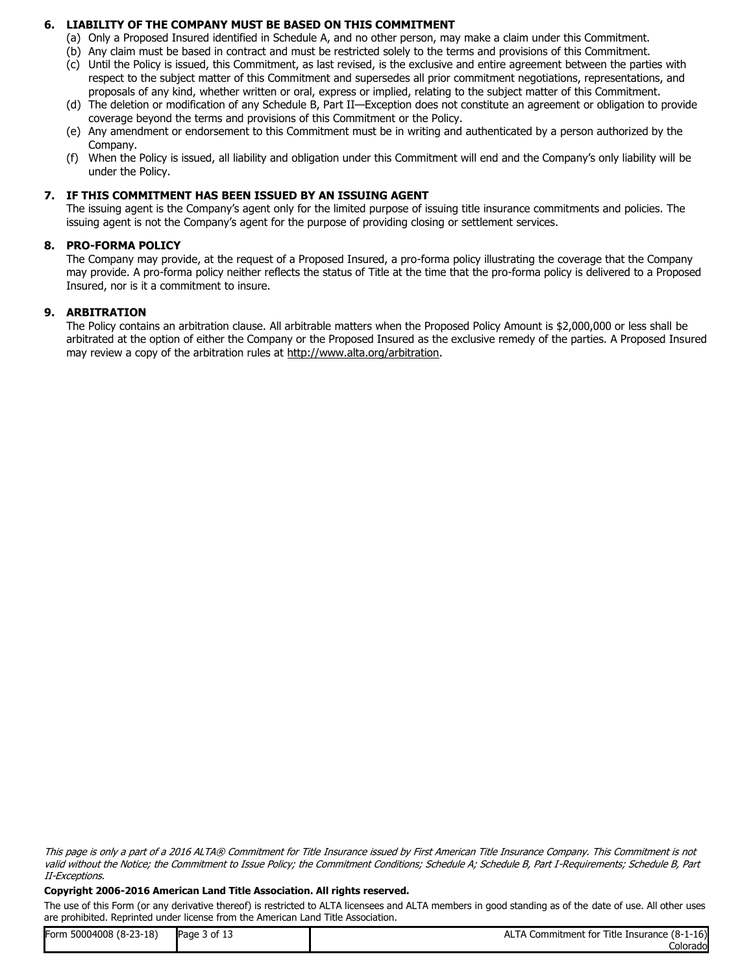## **6. LIABILITY OF THE COMPANY MUST BE BASED ON THIS COMMITMENT**

- (a) Only a Proposed Insured identified in Schedule A, and no other person, may make a claim under this Commitment.
- (b) Any claim must be based in contract and must be restricted solely to the terms and provisions of this Commitment.
- (c) Until the Policy is issued, this Commitment, as last revised, is the exclusive and entire agreement between the parties with respect to the subject matter of this Commitment and supersedes all prior commitment negotiations, representations, and proposals of any kind, whether written or oral, express or implied, relating to the subject matter of this Commitment.
- (d) The deletion or modification of any Schedule B, Part II—Exception does not constitute an agreement or obligation to provide coverage beyond the terms and provisions of this Commitment or the Policy.
- (e) Any amendment or endorsement to this Commitment must be in writing and authenticated by a person authorized by the Company.
- (f) When the Policy is issued, all liability and obligation under this Commitment will end and the Company's only liability will be under the Policy.

#### **7. IF THIS COMMITMENT HAS BEEN ISSUED BY AN ISSUING AGENT**

The issuing agent is the Company's agent only for the limited purpose of issuing title insurance commitments and policies. The issuing agent is not the Company's agent for the purpose of providing closing or settlement services.

#### **8. PRO-FORMA POLICY**

The Company may provide, at the request of a Proposed Insured, a pro-forma policy illustrating the coverage that the Company may provide. A pro-forma policy neither reflects the status of Title at the time that the pro-forma policy is delivered to a Proposed Insured, nor is it a commitment to insure.

#### **9. ARBITRATION**

The Policy contains an arbitration clause. All arbitrable matters when the Proposed Policy Amount is \$2,000,000 or less shall be arbitrated at the option of either the Company or the Proposed Insured as the exclusive remedy of the parties. A Proposed Insured may review a copy of the arbitration rules at http://www.alta.org/arbitration.

This page is only a part of a 2016 ALTA® Commitment for Title Insurance issued by First American Title Insurance Company. This Commitment is not valid without the Notice; the Commitment to Issue Policy; the Commitment Conditions; Schedule A; Schedule B, Part I-Requirements; Schedule B, Part II-Exceptions.

#### **Copyright 2006-2016 American Land Title Association. All rights reserved.**

| Form 50004008 (8-23-18) | of 13<br>Page | A Commitment for Title Insurance (8-1-16)<br>ALIA |
|-------------------------|---------------|---------------------------------------------------|
|                         |               | Colorado                                          |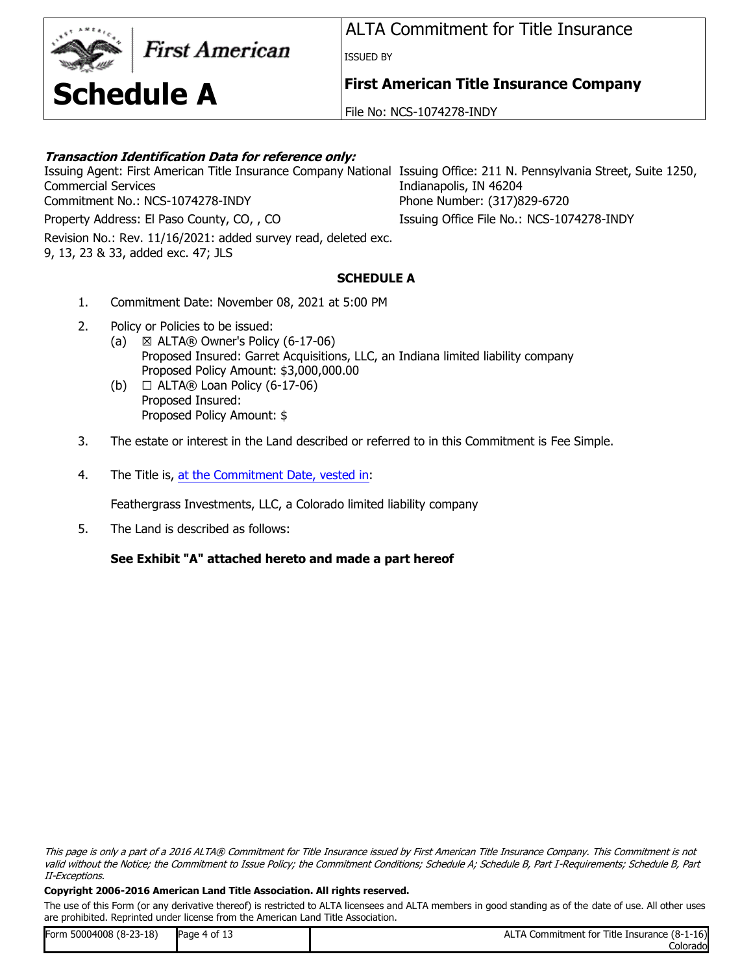## **First American**

**Schedule A**

ALTA Commitment for Title Insurance

ISSUED BY

**First American Title Insurance Company**

File No: NCS-1074278-INDY

## **Transaction Identification Data for reference only:**

Issuing Agent: First American Title Insurance Company National Issuing Office: 211 N. Pennsylvania Street, Suite 1250, Commercial Services Commitment No.: NCS-1074278-INDY Phone Number: (317)829-6720

Revision No.: Rev. 11/16/2021: added survey read, deleted exc. 9, 13, 23 & 33, added exc. 47; JLS

Indianapolis, IN 46204

Property Address: El Paso County, CO, , CO Issuing Office File No.: NCS-1074278-INDY

## **SCHEDULE A**

- 1. Commitment Date: November 08, 2021 at 5:00 PM
- 2. Policy or Policies to be issued:
	- (a)  $\boxtimes$  ALTA $\textcircled{R}$  Owner's Policy (6-17-06) Proposed Insured: Garret Acquisitions, LLC, an Indiana limited liability company Proposed Policy Amount: \$3,000,000.00
	- (b)  $\Box$  ALTA $\circledR$  Loan Policy (6-17-06) Proposed Insured: Proposed Policy Amount: \$
- 3. The estate or interest in the Land described or referred to in this Commitment is Fee Simple.
- 4. The Title is, [at the Commitment Date, vested in](https://docs.clarityfirst.com/meta/index?m=d02b45f7-13a0-41b2-8ec0-7b69e46dc5f3&q=MPdeHEOGkeyptY7chXPxsBK5SXuSZSNLER2ySBaGhFLCSI%3D&t=4&h=1a9842a9-0d7c-4dfa-8880-a32984518339&attach=true):

Feathergrass Investments, LLC, a Colorado limited liability company

5. The Land is described as follows:

## **See Exhibit "A" attached hereto and made a part hereof**

This page is only a part of a 2016 ALTA® Commitment for Title Insurance issued by First American Title Insurance Company. This Commitment is not valid without the Notice; the Commitment to Issue Policy; the Commitment Conditions; Schedule A; Schedule B, Part I-Requirements; Schedule B, Part II-Exceptions.

## **Copyright 2006-2016 American Land Title Association. All rights reserved.**

| Form 50004008 (8-23-18) | Page 4 of 13 | ALTA Commitment for Title Insurance (8-1-16) |
|-------------------------|--------------|----------------------------------------------|
|                         |              | Colorado                                     |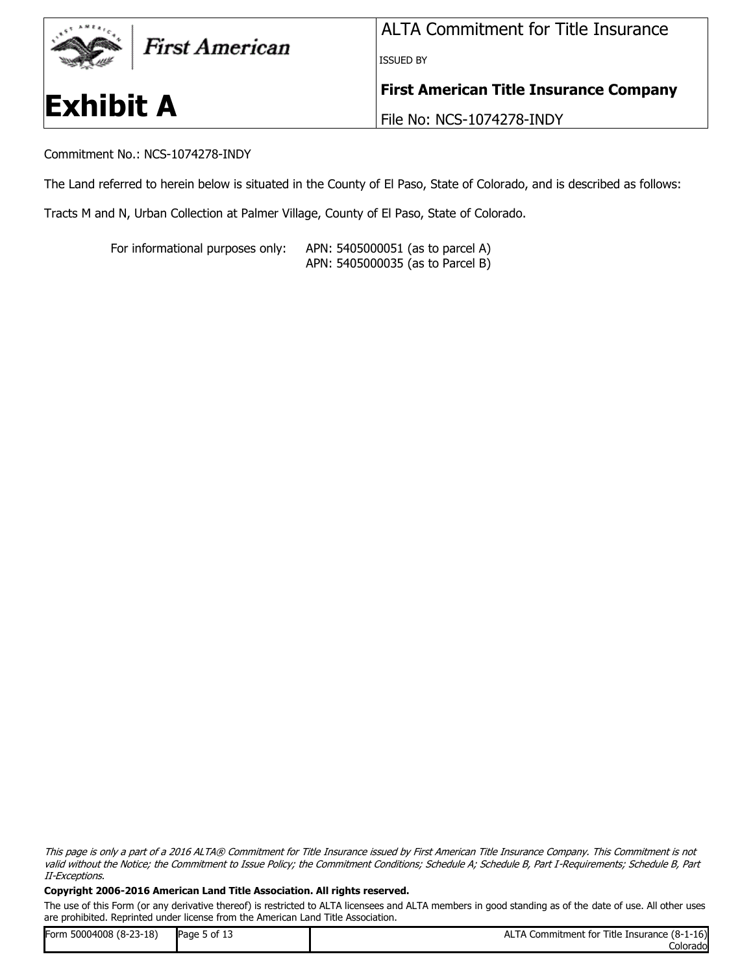

Commitment No.: NCS-1074278-INDY

The Land referred to herein below is situated in the County of El Paso, State of Colorado, and is described as follows:

Tracts M and N, Urban Collection at Palmer Village, County of El Paso, State of Colorado.

For informational purposes only: APN: 5405000051 (as to parcel A) APN: 5405000035 (as to Parcel B)

This page is only a part of a 2016 ALTA® Commitment for Title Insurance issued by First American Title Insurance Company. This Commitment is not valid without the Notice; the Commitment to Issue Policy; the Commitment Conditions; Schedule A; Schedule B, Part I-Requirements; Schedule B, Part II-Exceptions.

#### **Copyright 2006-2016 American Land Title Association. All rights reserved.**

| Form 50004008 (8-23-18) | Page 5 of 13 | Commitment for Title Insurance (8-1-16)<br>ALTA |
|-------------------------|--------------|-------------------------------------------------|
|                         |              | Colorado                                        |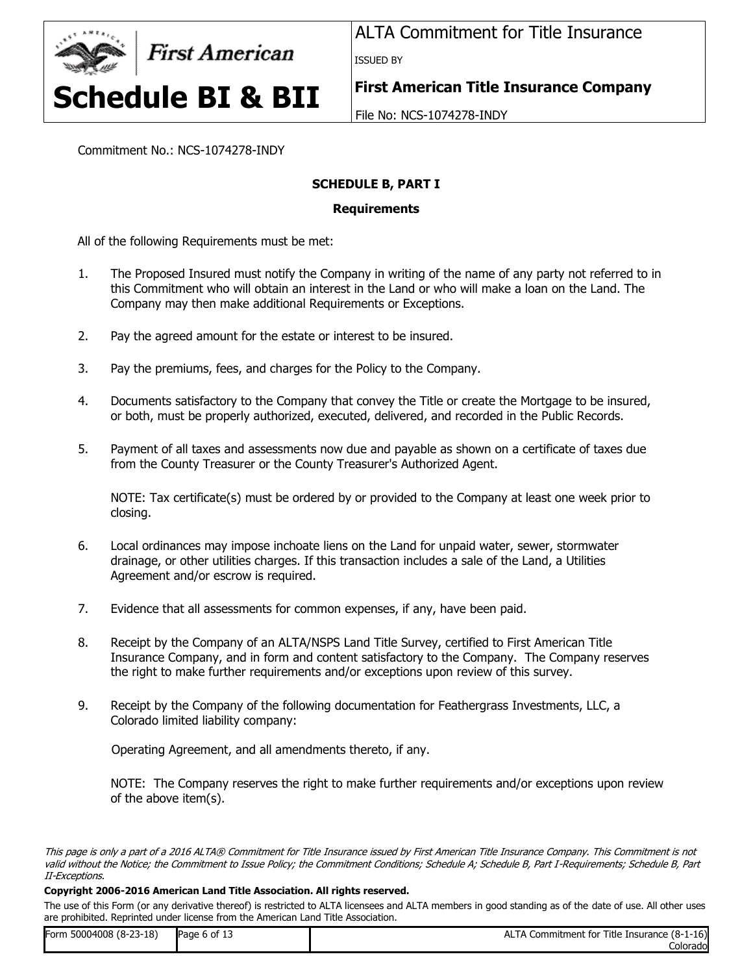

ALTA Commitment for Title Insurance ISSUED BY

**First American Title Insurance Company**

File No: NCS-1074278-INDY

Commitment No.: NCS-1074278-INDY

## **SCHEDULE B, PART I**

## **Requirements**

All of the following Requirements must be met:

- 1. The Proposed Insured must notify the Company in writing of the name of any party not referred to in this Commitment who will obtain an interest in the Land or who will make a loan on the Land. The Company may then make additional Requirements or Exceptions.
- 2. Pay the agreed amount for the estate or interest to be insured.
- 3. Pay the premiums, fees, and charges for the Policy to the Company.
- 4. Documents satisfactory to the Company that convey the Title or create the Mortgage to be insured, or both, must be properly authorized, executed, delivered, and recorded in the Public Records.
- 5. Payment of all taxes and assessments now due and payable as shown on a certificate of taxes due from the County Treasurer or the County Treasurer's Authorized Agent.

NOTE: Tax certificate(s) must be ordered by or provided to the Company at least one week prior to closing.

- 6. Local ordinances may impose inchoate liens on the Land for unpaid water, sewer, stormwater drainage, or other utilities charges. If this transaction includes a sale of the Land, a Utilities Agreement and/or escrow is required.
- 7. Evidence that all assessments for common expenses, if any, have been paid.
- 8. Receipt by the Company of an ALTA/NSPS Land Title Survey, certified to First American Title Insurance Company, and in form and content satisfactory to the Company. The Company reserves the right to make further requirements and/or exceptions upon review of this survey.
- 9. Receipt by the Company of the following documentation for Feathergrass Investments, LLC, a Colorado limited liability company:

Operating Agreement, and all amendments thereto, if any.

NOTE: The Company reserves the right to make further requirements and/or exceptions upon review of the above item(s).

#### **Copyright 2006-2016 American Land Title Association. All rights reserved.**

| Form 50004008 (8-23-18) | Page 6 of 13 | ALTA Commitment for Title Insurance (8-1-16) |
|-------------------------|--------------|----------------------------------------------|
|                         |              | Colorado                                     |

This page is only a part of a 2016 ALTA® Commitment for Title Insurance issued by First American Title Insurance Company. This Commitment is not valid without the Notice; the Commitment to Issue Policy; the Commitment Conditions; Schedule A; Schedule B, Part I-Requirements; Schedule B, Part II-Exceptions.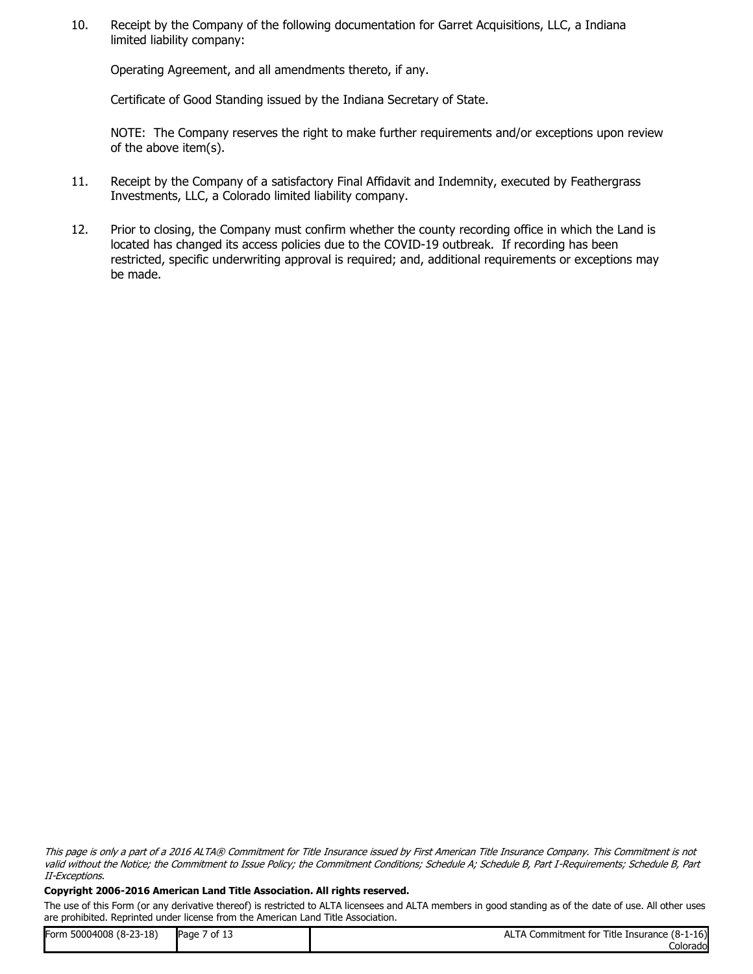10. Receipt by the Company of the following documentation for Garret Acquisitions, LLC, a Indiana limited liability company:

Operating Agreement, and all amendments thereto, if any.

Certificate of Good Standing issued by the Indiana Secretary of State.

NOTE: The Company reserves the right to make further requirements and/or exceptions upon review of the above item(s).

- 11. Receipt by the Company of a satisfactory Final Affidavit and Indemnity, executed by Feathergrass Investments, LLC, a Colorado limited liability company.
- 12. Prior to closing, the Company must confirm whether the county recording office in which the Land is located has changed its access policies due to the COVID-19 outbreak. If recording has been restricted, specific underwriting approval is required; and, additional requirements or exceptions may be made.

This page is only a part of a 2016 ALTA® Commitment for Title Insurance issued by First American Title Insurance Company. This Commitment is not valid without the Notice; the Commitment to Issue Policy; the Commitment Conditions; Schedule A; Schedule B, Part I-Requirements; Schedule B, Part II-Exceptions.

#### **Copyright 2006-2016 American Land Title Association. All rights reserved.**

| Form 50004008 (8-23-18) | <sup>7</sup> of 13<br>Page 7 | ALTA Commitment for Title Insurance (8-1-16) |
|-------------------------|------------------------------|----------------------------------------------|
|                         |                              | Colorado                                     |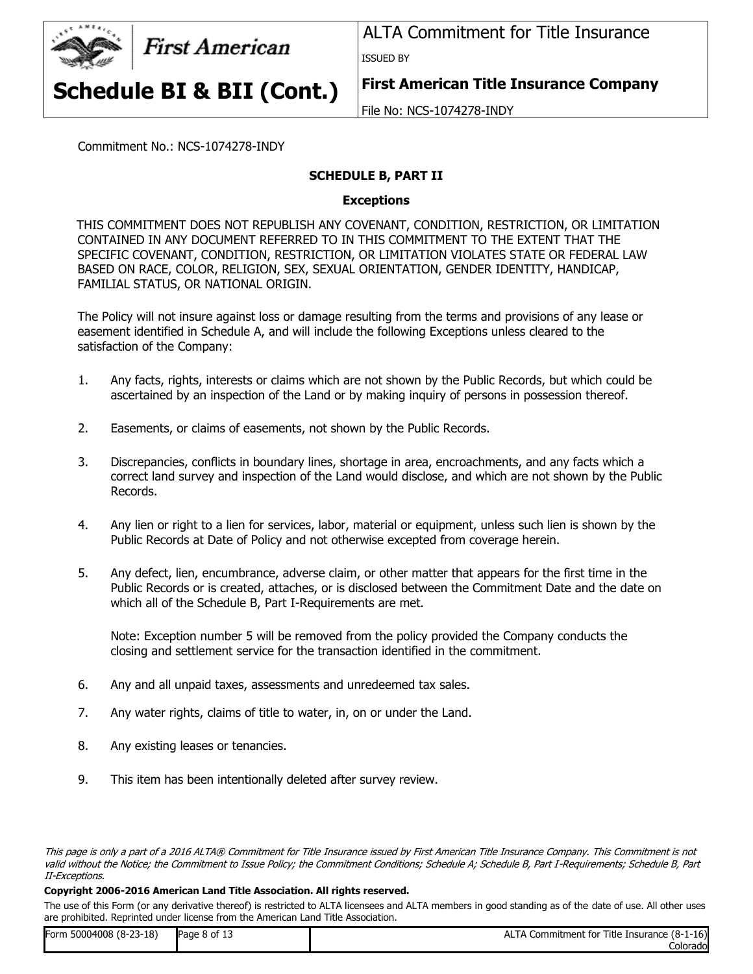

ALTA Commitment for Title Insurance ISSUED BY

**Schedule BI & BII (Cont.)**

**First American Title Insurance Company**

File No: NCS-1074278-INDY

Commitment No.: NCS-1074278-INDY

## **SCHEDULE B, PART II**

## **Exceptions**

THIS COMMITMENT DOES NOT REPUBLISH ANY COVENANT, CONDITION, RESTRICTION, OR LIMITATION CONTAINED IN ANY DOCUMENT REFERRED TO IN THIS COMMITMENT TO THE EXTENT THAT THE SPECIFIC COVENANT, CONDITION, RESTRICTION, OR LIMITATION VIOLATES STATE OR FEDERAL LAW BASED ON RACE, COLOR, RELIGION, SEX, SEXUAL ORIENTATION, GENDER IDENTITY, HANDICAP, FAMILIAL STATUS, OR NATIONAL ORIGIN.

The Policy will not insure against loss or damage resulting from the terms and provisions of any lease or easement identified in Schedule A, and will include the following Exceptions unless cleared to the satisfaction of the Company:

- 1. Any facts, rights, interests or claims which are not shown by the Public Records, but which could be ascertained by an inspection of the Land or by making inquiry of persons in possession thereof.
- 2. Easements, or claims of easements, not shown by the Public Records.
- 3. Discrepancies, conflicts in boundary lines, shortage in area, encroachments, and any facts which a correct land survey and inspection of the Land would disclose, and which are not shown by the Public Records.
- 4. Any lien or right to a lien for services, labor, material or equipment, unless such lien is shown by the Public Records at Date of Policy and not otherwise excepted from coverage herein.
- 5. Any defect, lien, encumbrance, adverse claim, or other matter that appears for the first time in the Public Records or is created, attaches, or is disclosed between the Commitment Date and the date on which all of the Schedule B, Part I-Requirements are met.

Note: Exception number 5 will be removed from the policy provided the Company conducts the closing and settlement service for the transaction identified in the commitment.

- 6. Any and all unpaid taxes, assessments and unredeemed tax sales.
- 7. Any water rights, claims of title to water, in, on or under the Land.
- 8. Any existing leases or tenancies.
- 9. This item has been intentionally deleted after survey review.

#### **Copyright 2006-2016 American Land Title Association. All rights reserved.**

| Form 50004008 (8-23-18) | Page 8 of 13 | LTA Commitment for Title Insurance (8-1-16)<br><b>ALTA</b> |
|-------------------------|--------------|------------------------------------------------------------|
|                         |              | Colorado                                                   |

This page is only a part of a 2016 ALTA® Commitment for Title Insurance issued by First American Title Insurance Company. This Commitment is not valid without the Notice; the Commitment to Issue Policy; the Commitment Conditions; Schedule A; Schedule B, Part I-Requirements; Schedule B, Part II-Exceptions.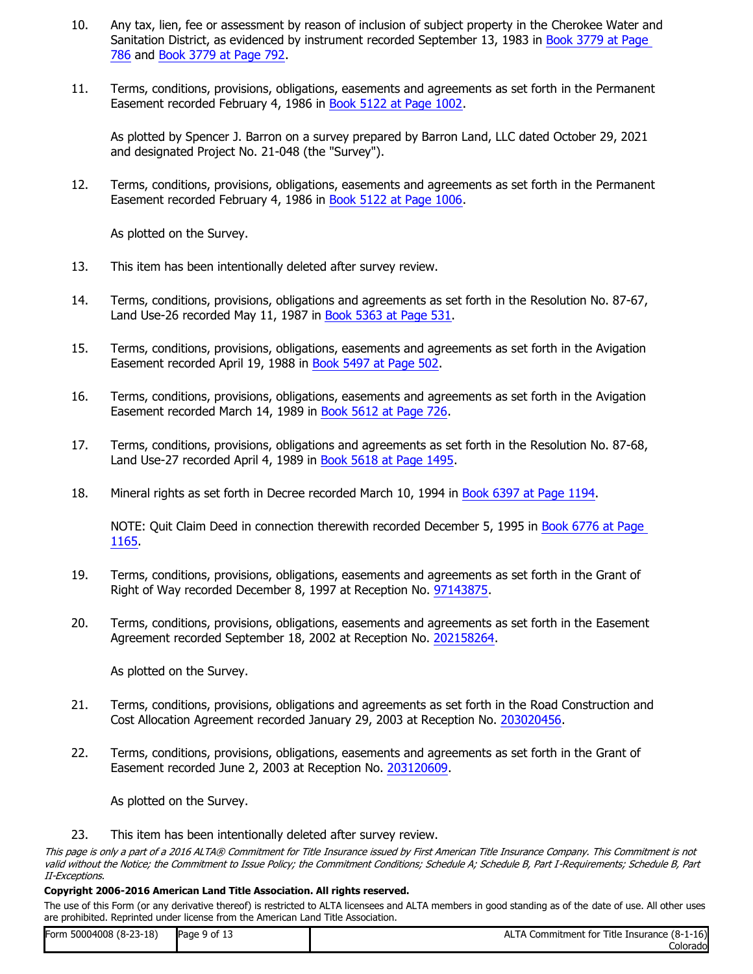- 10. Any tax, lien, fee or assessment by reason of inclusion of subject property in the Cherokee Water and Sanitation District, as evidenced by instrument recorded September 13, 1983 in Book 3779 at Page [786](https://docs.clarityfirst.com/meta/index?m=d02b45f7-13a0-41b2-8ec0-7b69e46dc5f3&q=Rq6IV6HvWWq9dYas8ryeLNYRsnPsi5HChSPwUySKTpc%3D&h=2742df30-e1ca-4ee1-94ab-d4cf6cf46fb6&attach=true) and [Book 3779 at Page 792.](https://docs.clarityfirst.com/meta/index?m=d02b45f7-13a0-41b2-8ec0-7b69e46dc5f3&q=Rq6IV6HvWWq9dYas8ryeLKMdZq4cA3LPObLSPKAVkrA%3D&h=5ff75f9d-017e-4fa7-a3dc-402d19bce220&attach=true)
- 11. Terms, conditions, provisions, obligations, easements and agreements as set forth in the Permanent Easement recorded February 4, 1986 in [Book 5122 at Page 1002](https://docs.clarityfirst.com/meta/index?m=d02b45f7-13a0-41b2-8ec0-7b69e46dc5f3&q=Rq6IV6HvWWq9dYas8ryeLIG1cyptyIvpQbqRcyptYrQycypt0Y7Y%3D&h=2d7dad38-85f8-4e8f-b850-56d7a7e52e10&attach=true).

As plotted by Spencer J. Barron on a survey prepared by Barron Land, LLC dated October 29, 2021 and designated Project No. 21-048 (the "Survey").

12. Terms, conditions, provisions, obligations, easements and agreements as set forth in the Permanent Easement recorded February 4, 1986 in [Book 5122 at Page 1006](https://docs.clarityfirst.com/meta/index?m=d02b45f7-13a0-41b2-8ec0-7b69e46dc5f3&q=Rq6IV6HvWWq9dYas8ryeLCuVf2SkNge6ieyptE1zmTUeyptuQ%3D&h=d94df16d-4b2e-42f5-9b5b-fa6f02128932&attach=true).

As plotted on the Survey.

- 13. This item has been intentionally deleted after survey review.
- 14. Terms, conditions, provisions, obligations and agreements as set forth in the Resolution No. 87-67, Land Use-26 recorded May 11, 1987 in [Book 5363 at Page 531](https://docs.clarityfirst.com/meta/index?m=d02b45f7-13a0-41b2-8ec0-7b69e46dc5f3&q=Rq6IV6HvWWq9dYas8ryeLBeyptG8ZPlXtDq7fmq16SjPKE%3D&h=8a4706a5-e857-49bc-94fa-8ae3fd1cacc6&attach=true).
- 15. Terms, conditions, provisions, obligations, easements and agreements as set forth in the Avigation Easement recorded April 19, 1988 in [Book 5497 at Page 502.](https://docs.clarityfirst.com/meta/index?m=d02b45f7-13a0-41b2-8ec0-7b69e46dc5f3&q=Rq6IV6HvWWq9dYas8ryeLB3Queng8XigIst9TeJpbaA%3D&h=00bd54fd-c096-4af5-9f47-25943c59f53e&attach=true)
- 16. Terms, conditions, provisions, obligations, easements and agreements as set forth in the Avigation Easement recorded March 14, 1989 in [Book 5612 at Page 726.](https://docs.clarityfirst.com/meta/index?m=d02b45f7-13a0-41b2-8ec0-7b69e46dc5f3&q=Rq6IV6HvWWq9dYas8ryeLFvyig299mTWJGB2G4uxxI8%3D&h=8343b863-c3de-416e-8b9d-0c6c219f0618&attach=true)
- 17. Terms, conditions, provisions, obligations and agreements as set forth in the Resolution No. 87-68, Land Use-27 recorded April 4, 1989 in [Book 5618 at Page 1495](https://docs.clarityfirst.com/meta/index?m=d02b45f7-13a0-41b2-8ec0-7b69e46dc5f3&q=Rq6IV6HvWWq9dYas8ryeLFEf0udtQUzyyl63QxFbr6g%3D&h=5e4b9745-7bd9-4611-843f-17b58395fae9&attach=true).
- 18. Mineral rights as set forth in Decree recorded March 10, 1994 in [Book 6397 at Page 1194.](https://docs.clarityfirst.com/meta/index?m=d02b45f7-13a0-41b2-8ec0-7b69e46dc5f3&q=Rq6IV6HvWWq9dYas8ryeLHqQ79OPsFUmXeno0FAWwKk%3D&h=70c09793-ea3b-4019-99c7-0f2b7ab4c59b&attach=true)

NOTE: Quit Claim Deed in connection therewith recorded December 5, 1995 in [Book 6776 at Page](https://docs.clarityfirst.com/meta/index?m=d02b45f7-13a0-41b2-8ec0-7b69e46dc5f3&q=Rq6IV6HvWWq9dYas8ryeLMmmEDwKbCfLNcGxuGt2aXs%3D&h=056b46b5-80a6-44cf-b52d-3473fd731a0d&attach=true)  [1165](https://docs.clarityfirst.com/meta/index?m=d02b45f7-13a0-41b2-8ec0-7b69e46dc5f3&q=Rq6IV6HvWWq9dYas8ryeLMmmEDwKbCfLNcGxuGt2aXs%3D&h=056b46b5-80a6-44cf-b52d-3473fd731a0d&attach=true).

- 19. Terms, conditions, provisions, obligations, easements and agreements as set forth in the Grant of Right of Way recorded December 8, 1997 at Reception No. [97143875.](https://docs.clarityfirst.com/meta/index?m=d02b45f7-13a0-41b2-8ec0-7b69e46dc5f3&q=Rq6IV6HvWWq9dYas8ryeLEnXYcVC5q27cyptveyptr07vNutk%3D&h=173c8903-7a3d-4fa3-b6d4-6eb7518cbcde&attach=true)
- 20. Terms, conditions, provisions, obligations, easements and agreements as set forth in the Easement Agreement recorded September 18, 2002 at Reception No. [202158264](https://docs.clarityfirst.com/meta/index?m=d02b45f7-13a0-41b2-8ec0-7b69e46dc5f3&q=Rq6IV6HvWWq9dYas8ryeLFbZLcIUecOsghxI7pRN6Tk%3D&h=8fe04fee-bb23-4a3b-b67d-69bdfb854bb1&attach=true).

As plotted on the Survey.

- 21. Terms, conditions, provisions, obligations and agreements as set forth in the Road Construction and Cost Allocation Agreement recorded January 29, 2003 at Reception No. [203020456.](https://docs.clarityfirst.com/meta/index?m=d02b45f7-13a0-41b2-8ec0-7b69e46dc5f3&q=Rq6IV6HvWWq9dYas8ryeLB8CvrdEcyptxKWLThbAmXJ36A%3D&h=56ae5d35-257a-4777-9374-32ea84d882d8&attach=true)
- 22. Terms, conditions, provisions, obligations, easements and agreements as set forth in the Grant of Easement recorded June 2, 2003 at Reception No. [203120609](https://docs.clarityfirst.com/meta/index?m=d02b45f7-13a0-41b2-8ec0-7b69e46dc5f3&q=Rq6IV6HvWWq9dYas8ryeLJFlDNMqBFA5YsT5rvfQBGY%3D&h=f0596483-3742-4668-8432-a9502c758333&attach=true).

As plotted on the Survey.

23. This item has been intentionally deleted after survey review.

This page is only a part of a 2016 ALTA® Commitment for Title Insurance issued by First American Title Insurance Company. This Commitment is not valid without the Notice; the Commitment to Issue Policy; the Commitment Conditions; Schedule A; Schedule B, Part I-Requirements; Schedule B, Part II-Exceptions.

#### **Copyright 2006-2016 American Land Title Association. All rights reserved.**

| Form 50004008 (8-23-18) | Page 9 of 13 | TA Commitment for Title Insurance (8-1-16)<br>AL |
|-------------------------|--------------|--------------------------------------------------|
|                         |              | Colorado                                         |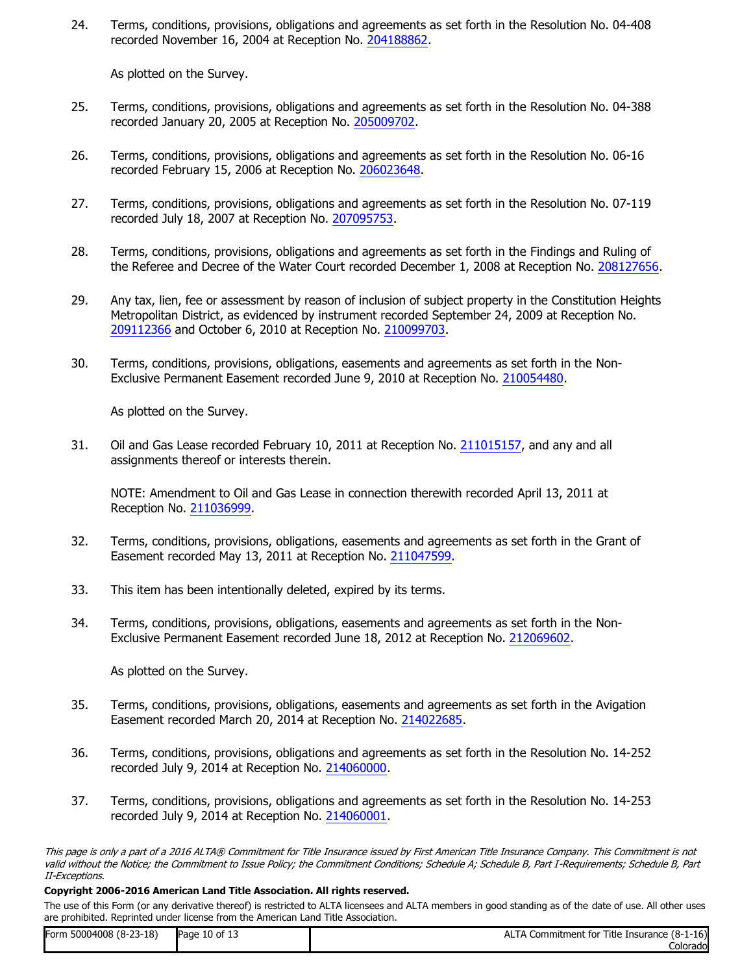24. Terms, conditions, provisions, obligations and agreements as set forth in the Resolution No. 04-408 recorded November 16, 2004 at Reception No. [204188862](https://docs.clarityfirst.com/meta/index?m=d02b45f7-13a0-41b2-8ec0-7b69e46dc5f3&q=Rq6IV6HvWWq9dYas8ryeLPfCZzutTlhRLEp25INNNx8%3D&h=3fa66df9-105f-4d5a-9c34-afa85068ee1c&attach=true).

As plotted on the Survey.

- 25. Terms, conditions, provisions, obligations and agreements as set forth in the Resolution No. 04-388 recorded January 20, 2005 at Reception No. [205009702](https://docs.clarityfirst.com/meta/index?m=d02b45f7-13a0-41b2-8ec0-7b69e46dc5f3&q=Rq6IV6HvWWq9dYas8ryeLPNlGjw605P9ECSqm43dMnY%3D&h=cde00600-7059-485f-8674-b902b0ec748a&attach=true).
- 26. Terms, conditions, provisions, obligations and agreements as set forth in the Resolution No. 06-16 recorded February 15, 2006 at Reception No. [206023648.](https://docs.clarityfirst.com/meta/index?m=d02b45f7-13a0-41b2-8ec0-7b69e46dc5f3&q=Rq6IV6HvWWq9dYas8ryeLOCY5sDyhDEeyptLqteypt1xMAej8%3D&h=3c719643-b788-4b40-9dff-cbe1abb1de79&attach=true)
- 27. Terms, conditions, provisions, obligations and agreements as set forth in the Resolution No. 07-119 recorded July 18, 2007 at Reception No. [207095753.](https://docs.clarityfirst.com/meta/index?m=d02b45f7-13a0-41b2-8ec0-7b69e46dc5f3&q=Rq6IV6HvWWq9dYas8ryeLAlO95mb6U1dLeyptOV7sdAEXk%3D&h=a365b847-6c63-4e80-96a8-d74a2437dc09&attach=true)
- 28. Terms, conditions, provisions, obligations and agreements as set forth in the Findings and Ruling of the Referee and Decree of the Water Court recorded December 1, 2008 at Reception No. [208127656.](https://docs.clarityfirst.com/meta/index?m=d02b45f7-13a0-41b2-8ec0-7b69e46dc5f3&q=Rq6IV6HvWWq9dYas8ryeLPQccFnKF6eAfvDpjXqNMnE%3D&h=abd1da2a-07bc-41ea-a93b-10afdcc65154&attach=true)
- 29. Any tax, lien, fee or assessment by reason of inclusion of subject property in the Constitution Heights Metropolitan District, as evidenced by instrument recorded September 24, 2009 at Reception No. [209112366](https://docs.clarityfirst.com/meta/index?m=d02b45f7-13a0-41b2-8ec0-7b69e46dc5f3&q=Rq6IV6HvWWq9dYas8ryeLDHL5AI9FT19zYUnDcFCZKY%3D&h=05e22030-23e0-4965-a22e-7d703d99c6a5&attach=true) and October 6, 2010 at Reception No. [210099703](https://docs.clarityfirst.com/meta/index?m=d02b45f7-13a0-41b2-8ec0-7b69e46dc5f3&q=Rq6IV6HvWWq9dYas8ryeLBNUV4avQNeibinX8XhWyto%3D&h=b41226af-7cb5-4f9f-9328-5bb76baf6646&attach=true).
- 30. Terms, conditions, provisions, obligations, easements and agreements as set forth in the Non-Exclusive Permanent Easement recorded June 9, 2010 at Reception No. [210054480](https://docs.clarityfirst.com/meta/index?m=d02b45f7-13a0-41b2-8ec0-7b69e46dc5f3&q=Rq6IV6HvWWq9dYas8ryeLEwXqYY6ydpVbKwymL3Xj80%3D&h=db2df0ae-c20d-408e-8896-bfa5d3a1e998&attach=true).

As plotted on the Survey.

31. Oil and Gas Lease recorded February 10, 2011 at Reception No. [211015157](https://docs.clarityfirst.com/meta/index?m=d02b45f7-13a0-41b2-8ec0-7b69e46dc5f3&q=Rq6IV6HvWWq9dYas8ryeLJcyptklStybRF2nlVkYc4eeTI%3D&h=38390b08-ae7f-491c-af0c-029872e95a4c&attach=true), and any and all assignments thereof or interests therein.

NOTE: Amendment to Oil and Gas Lease in connection therewith recorded April 13, 2011 at Reception No. [211036999](https://docs.clarityfirst.com/meta/index?m=d02b45f7-13a0-41b2-8ec0-7b69e46dc5f3&q=Rq6IV6HvWWq9dYas8ryeLAFcyptTpo6se0aAQ2szfQ9y5A%3D&h=5779e4ab-5254-4f5f-937f-629f429d0312&attach=true).

- 32. Terms, conditions, provisions, obligations, easements and agreements as set forth in the Grant of Easement recorded May 13, 2011 at Reception No. [211047599](https://docs.clarityfirst.com/meta/index?m=d02b45f7-13a0-41b2-8ec0-7b69e46dc5f3&q=Rq6IV6HvWWq9dYas8ryeLDWCNsoeyptmfQw1xOYO3eOZWA%3D&h=d6eb3b37-eb51-4610-8919-1d296db63120&attach=true).
- 33. This item has been intentionally deleted, expired by its terms.
- 34. Terms, conditions, provisions, obligations, easements and agreements as set forth in the Non-Exclusive Permanent Easement recorded June 18, 2012 at Reception No. [212069602.](https://docs.clarityfirst.com/meta/index?m=d02b45f7-13a0-41b2-8ec0-7b69e46dc5f3&q=Rq6IV6HvWWq9dYas8ryeLLBCV7kXppMyufijiLnYXPc%3D&h=7a10d461-f76a-4ee1-9850-10237aecacf4&attach=true)

As plotted on the Survey.

- 35. Terms, conditions, provisions, obligations, easements and agreements as set forth in the Avigation Easement recorded March 20, 2014 at Reception No. [214022685](https://docs.clarityfirst.com/meta/index?m=d02b45f7-13a0-41b2-8ec0-7b69e46dc5f3&q=Rq6IV6HvWWq9dYas8ryeLAm0I7bfgJfAyWdmuuekDxQ%3D&h=964b79b5-e1a2-4cad-8a01-f7dfed5ebd39&attach=true).
- 36. Terms, conditions, provisions, obligations and agreements as set forth in the Resolution No. 14-252 recorded July 9, 2014 at Reception No. [214060000](https://docs.clarityfirst.com/meta/index?m=d02b45f7-13a0-41b2-8ec0-7b69e46dc5f3&q=Rq6IV6HvWWq9dYas8ryeLFlyonBY3h6HCQRMHIfTofM%3D&h=4499e31d-5269-474d-a0cc-dc0a1fffd3ca&attach=true).
- 37. Terms, conditions, provisions, obligations and agreements as set forth in the Resolution No. 14-253 recorded July 9, 2014 at Reception No. [214060001.](https://docs.clarityfirst.com/meta/index?m=d02b45f7-13a0-41b2-8ec0-7b69e46dc5f3&q=Rq6IV6HvWWq9dYas8ryeLJdRjd7Bvc9ADgAzGfN6aiA%3D&h=95f578dc-a5bd-46f1-afa3-bf98455702ee&attach=true)

This page is only a part of a 2016 ALTA® Commitment for Title Insurance issued by First American Title Insurance Company. This Commitment is not valid without the Notice; the Commitment to Issue Policy; the Commitment Conditions; Schedule A; Schedule B, Part I-Requirements; Schedule B, Part II-Exceptions.

#### **Copyright 2006-2016 American Land Title Association. All rights reserved.**

| Form 50004008 (8-23-18) | Page 10 of 13 | ALTA Commitment for Title Insurance (8-1-16) |
|-------------------------|---------------|----------------------------------------------|
|                         |               | Colorado                                     |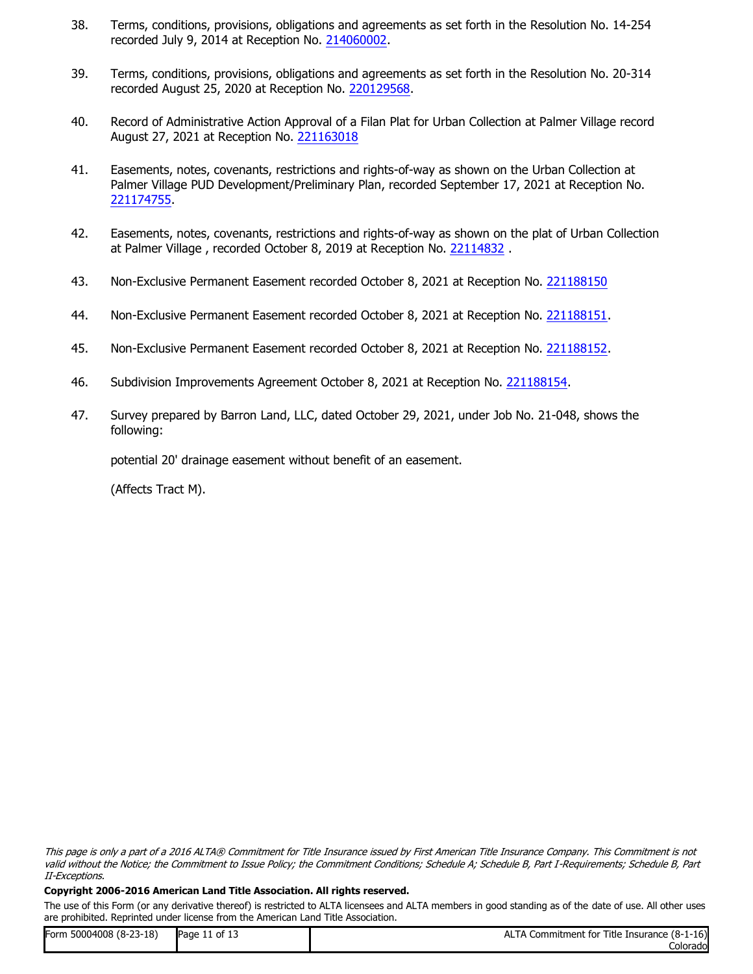- 38. Terms, conditions, provisions, obligations and agreements as set forth in the Resolution No. 14-254 recorded July 9, 2014 at Reception No. [214060002.](https://docs.clarityfirst.com/meta/index?m=d02b45f7-13a0-41b2-8ec0-7b69e46dc5f3&q=Rq6IV6HvWWq9dYas8ryeLMfUaIddvTPXXJGFjDN1IjI%3D&h=6cb3cdd7-ea5c-48d2-932c-d83ef404bc68&attach=true)
- 39. Terms, conditions, provisions, obligations and agreements as set forth in the Resolution No. 20-314 recorded August 25, 2020 at Reception No. [220129568](https://docs.clarityfirst.com/meta/index?m=d02b45f7-13a0-41b2-8ec0-7b69e46dc5f3&q=Rq6IV6HvWWq9dYas8ryeLLv9CflO6AhffKjLYq1P1k8%3D&h=a5601bc7-983a-4cb5-923b-ec255cc7da44&attach=true).
- 40. Record of Administrative Action Approval of a Filan Plat for Urban Collection at Palmer Village record August 27, 2021 at Reception No. [221163018](https://docs.clarityfirst.com/meta/index?m=d02b45f7-13a0-41b2-8ec0-7b69e46dc5f3&q=MPdeHEOGkeyptY7chXPxsBK5SLbQVqrPXPVGzkKiwcXhv0%3D&h=52daf443-b875-4cf5-b4da-e4a7db955afd&attach=true)
- 41. Easements, notes, covenants, restrictions and rights-of-way as shown on the Urban Collection at Palmer Village PUD Development/Preliminary Plan, recorded September 17, 2021 at Reception No. [221174755](https://docs.clarityfirst.com/meta/index?m=d02b45f7-13a0-41b2-8ec0-7b69e46dc5f3&q=MPdeHEOGkeyptY7chXPxsBK5ZcEnH6NbCW5qq94SYi5s3M%3D&h=94b8a4ee-f971-410b-b8bf-3a66d9f432d5&attach=true).
- 42. Easements, notes, covenants, restrictions and rights-of-way as shown on the plat of Urban Collection at Palmer Village , recorded October 8, 2019 at Reception No. [22114832](https://docs.clarityfirst.com/meta/index?m=d02b45f7-13a0-41b2-8ec0-7b69e46dc5f3&q=MPdeHEOGkeyptY7chXPxsBK5bxNAotsEfCnAiKOlsvvrT0%3D&h=137f806c-a0c8-4f02-88d9-b177f0ee7f8e&attach=true) .
- 43. Non-Exclusive Permanent Easement recorded October 8, 2021 at Reception No. [221188150](https://docs.clarityfirst.com/meta/index?m=d02b45f7-13a0-41b2-8ec0-7b69e46dc5f3&q=MPdeHEOGkeyptY7chXPxsBK5YYfuuQeKVzO8eypthTe7ycypteyptFI%3D&h=55c1c04c-4ebe-4ffe-a247-a93b6189171a&attach=true)
- 44. Non-Exclusive Permanent Easement recorded October 8, 2021 at Reception No. [221188151](https://docs.clarityfirst.com/meta/index?m=d02b45f7-13a0-41b2-8ec0-7b69e46dc5f3&q=MPdeHEOGkeyptY7chXPxsBK5cj15R8X2pg9rWp4hHK4sh4%3D&h=1ff243b8-7466-4d5a-bcc6-e67f57639b0c&attach=true).
- 45. Non-Exclusive Permanent Easement recorded October 8, 2021 at Reception No. [221188152](https://docs.clarityfirst.com/meta/index?m=d02b45f7-13a0-41b2-8ec0-7b69e46dc5f3&q=MPdeHEOGkeyptY7chXPxsBK5TvEfXzJWF0id57TGLGkBec%3D&h=e89ec8bd-388b-4fa6-9950-90c233bf2743&attach=true).
- 46. Subdivision Improvements Agreement October 8, 2021 at Reception No. [221188154](https://docs.clarityfirst.com/meta/index?m=d02b45f7-13a0-41b2-8ec0-7b69e46dc5f3&q=MPdeHEOGkeyptY7chXPxsBK5UVslvFKUlFFNBaQTcNBbls%3D&h=717f3375-96bd-4dd9-94e2-5e67ff61536e&attach=true).
- 47. Survey prepared by Barron Land, LLC, dated October 29, 2021, under Job No. 21-048, shows the following:

potential 20' drainage easement without benefit of an easement.

(Affects Tract M).

#### **Copyright 2006-2016 American Land Title Association. All rights reserved.**

| Form 50004008 (8-23-18) | Page 11 of 13 | ALTA Commitment for Title Insurance (8-1-16) |
|-------------------------|---------------|----------------------------------------------|
|                         |               | Colorado                                     |

This page is only a part of a 2016 ALTA® Commitment for Title Insurance issued by First American Title Insurance Company. This Commitment is not valid without the Notice; the Commitment to Issue Policy; the Commitment Conditions; Schedule A; Schedule B, Part I-Requirements; Schedule B, Part II-Exceptions.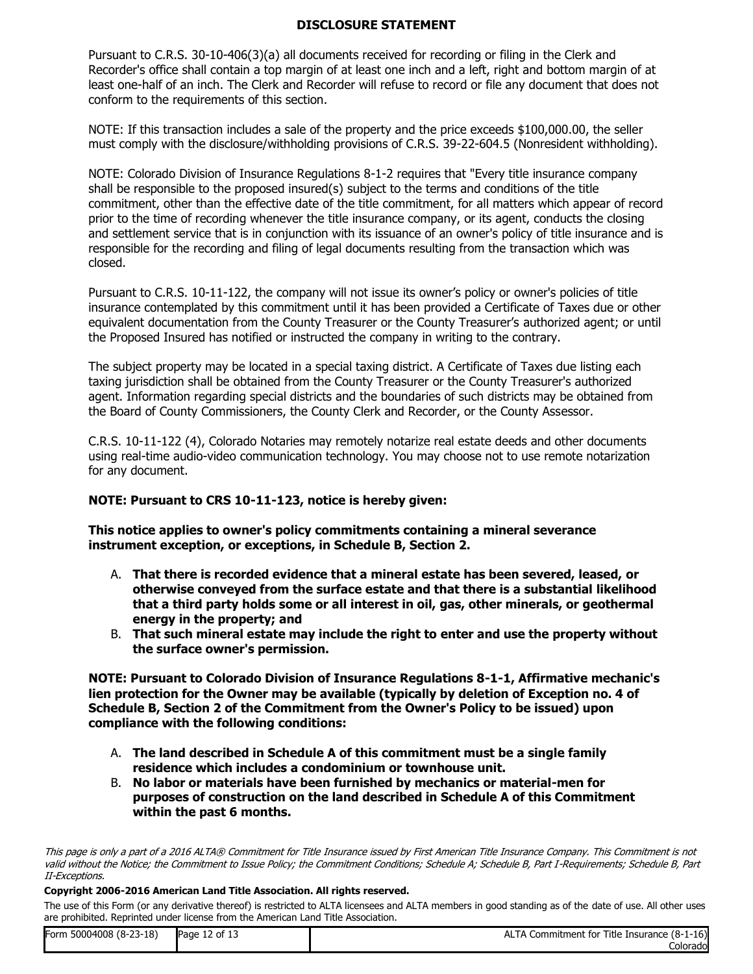## **DISCLOSURE STATEMENT**

Pursuant to C.R.S. 30-10-406(3)(a) all documents received for recording or filing in the Clerk and Recorder's office shall contain a top margin of at least one inch and a left, right and bottom margin of at least one-half of an inch. The Clerk and Recorder will refuse to record or file any document that does not conform to the requirements of this section.

NOTE: If this transaction includes a sale of the property and the price exceeds \$100,000.00, the seller must comply with the disclosure/withholding provisions of C.R.S. 39-22-604.5 (Nonresident withholding).

NOTE: Colorado Division of Insurance Regulations 8-1-2 requires that "Every title insurance company shall be responsible to the proposed insured(s) subject to the terms and conditions of the title commitment, other than the effective date of the title commitment, for all matters which appear of record prior to the time of recording whenever the title insurance company, or its agent, conducts the closing and settlement service that is in conjunction with its issuance of an owner's policy of title insurance and is responsible for the recording and filing of legal documents resulting from the transaction which was closed.

Pursuant to C.R.S. 10-11-122, the company will not issue its owner's policy or owner's policies of title insurance contemplated by this commitment until it has been provided a Certificate of Taxes due or other equivalent documentation from the County Treasurer or the County Treasurer's authorized agent; or until the Proposed Insured has notified or instructed the company in writing to the contrary.

The subject property may be located in a special taxing district. A Certificate of Taxes due listing each taxing jurisdiction shall be obtained from the County Treasurer or the County Treasurer's authorized agent. Information regarding special districts and the boundaries of such districts may be obtained from the Board of County Commissioners, the County Clerk and Recorder, or the County Assessor.

C.R.S. 10-11-122 (4), Colorado Notaries may remotely notarize real estate deeds and other documents using real-time audio-video communication technology. You may choose not to use remote notarization for any document.

## **NOTE: Pursuant to CRS 10-11-123, notice is hereby given:**

**This notice applies to owner's policy commitments containing a mineral severance instrument exception, or exceptions, in Schedule B, Section 2.**

- A. **That there is recorded evidence that a mineral estate has been severed, leased, or otherwise conveyed from the surface estate and that there is a substantial likelihood that a third party holds some or all interest in oil, gas, other minerals, or geothermal energy in the property; and**
- B. **That such mineral estate may include the right to enter and use the property without the surface owner's permission.**

**NOTE: Pursuant to Colorado Division of Insurance Regulations 8-1-1, Affirmative mechanic's lien protection for the Owner may be available (typically by deletion of Exception no. 4 of Schedule B, Section 2 of the Commitment from the Owner's Policy to be issued) upon compliance with the following conditions:**

- A. **The land described in Schedule A of this commitment must be a single family residence which includes a condominium or townhouse unit.**
- B. **No labor or materials have been furnished by mechanics or material-men for purposes of construction on the land described in Schedule A of this Commitment within the past 6 months.**

#### **Copyright 2006-2016 American Land Title Association. All rights reserved.**

| Form 50004008 (8-23-18) | Page 12 of 13 | ALTA Commitment for Title Insurance (8-1-16) |
|-------------------------|---------------|----------------------------------------------|
|                         |               | Colorado                                     |

This page is only a part of a 2016 ALTA® Commitment for Title Insurance issued by First American Title Insurance Company. This Commitment is not valid without the Notice; the Commitment to Issue Policy; the Commitment Conditions; Schedule A; Schedule B, Part I-Requirements; Schedule B, Part II-Exceptions.